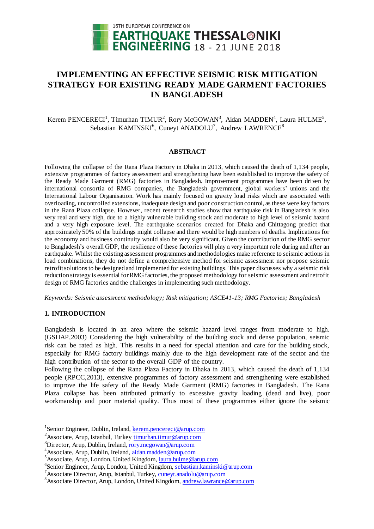

# **IMPLEMENTING AN EFFECTIVE SEISMIC RISK MITIGATION STRATEGY FOR EXISTING READY MADE GARMENT FACTORIES IN BANGLADESH**

Kerem PENCERECI<sup>1</sup>, Timurhan TIMUR<sup>2</sup>, Rory McGOWAN<sup>3</sup>, Aidan MADDEN<sup>4</sup>, Laura HULME<sup>5</sup>, Sebastian KAMINSKI<sup>6</sup>, Cuneyt ANADOLU<sup>7</sup>, Andrew LAWRENCE<sup>8</sup>

#### **ABSTRACT**

Following the collapse of the Rana Plaza Factory in Dhaka in 2013, which caused the death of 1,134 people, extensive programmes of factory assessment and strengthening have been established to improve the safety of the Ready Made Garment (RMG) factories in Bangladesh. Improvement programmes have been driven by international consortia of RMG companies, the Bangladesh government, global workers' unions and the International Labour Organisation. Work has mainly focused on gravity load risks which are associated with overloading, uncontrolled extensions, inadequate design and poor construction control, as these were key factors in the Rana Plaza collapse. However, recent research studies show that earthquake risk in Bangladesh is also very real and very high, due to a highly vulnerable building stock and moderate to high level of seismic hazard and a very high exposure level. The earthquake scenarios created for Dhaka and Chittagong predict that approximately 50% of the buildings might collapse and there would be high numbers of deaths. Implications for the economy and business continuity would also be very significant. Given the contribution of the RMG sector to Bangladesh's overall GDP, the resilience of these factories will play a very important role during and after an earthquake. Whilst the existing assessment programmes and methodologies make reference to seismic actions in load combinations, they do not define a comprehensive method for seismic assessment nor propose seismic retrofit solutions to be designed and implemented for existing buildings. This paper discusses why a seismic risk reduction strategy is essential for RMG factories, the proposed methodology for seismic assessment and retrofit design of RMG factories and the challenges in implementing such methodology.

*Keywords: Seismic assessment methodology; Risk mitigation; ASCE41-13; RMG Factories; Bangladesh*

## **1. INTRODUCTION**

1

Bangladesh is located in an area where the seismic hazard level ranges from moderate to high. (GSHAP,2003) Considering the high vulnerability of the building stock and dense population, seismic risk can be rated as high. This results in a need for special attention and care for the building stock, especially for RMG factory buildings mainly due to the high development rate of the sector and the high contribution of the sector to the overall GDP of the country.

Following the collapse of the Rana Plaza Factory in Dhaka in 2013, which caused the death of 1,134 people (RPCC,2013), extensive programmes of factory assessment and strengthening were established to improve the life safety of the Ready Made Garment (RMG) factories in Bangladesh. The Rana Plaza collapse has been attributed primarily to excessive gravity loading (dead and live), poor workmanship and poor material quality. Thus most of these programmes either ignore the seismic

<sup>&</sup>lt;sup>1</sup>Senior Engineer, Dublin, Ireland, **kerem.pencereci@arup.com** 

<sup>&</sup>lt;sup>2</sup>Associate, Arup, Istanbul, Turkey timurhan.timur@arup.com

<sup>3</sup>Director, Arup, Dublin, Ireland, rory.mcgowan@arup.com

<sup>4</sup>Associate, Arup, Dublin, Ireland, aidan.madden@arup.com

<sup>5</sup>Associate, Arup, London, United Kingdom, laura.hulme@arup.com

<sup>&</sup>lt;sup>6</sup>Senior Engineer, Arup, London, United Kingdom, sebastian.kaminski@arup.com

<sup>&</sup>lt;sup>7</sup> Associate Director, Arup, Istanbul, Turkey, cuneyt.anadolu@arup.com

<sup>&</sup>lt;sup>8</sup> Associate Director, Arup, London, United Kingdom, andrew.lawrance@arup.com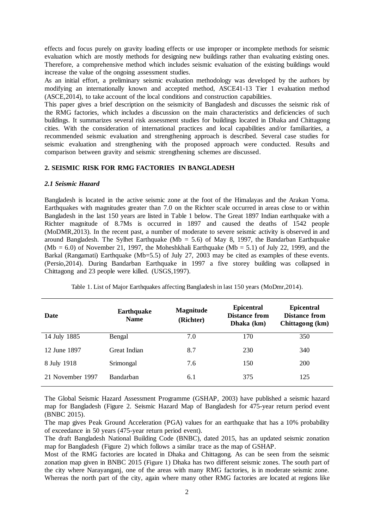effects and focus purely on gravity loading effects or use improper or incomplete methods for seismic evaluation which are mostly methods for designing new buildings rather than evaluating existing ones. Therefore, a comprehensive method which includes seismic evaluation of the existing buildings would increase the value of the ongoing assessment studies.

As an initial effort, a preliminary seismic evaluation methodology was developed by the authors by modifying an internationally known and accepted method, ASCE41-13 Tier 1 evaluation method (ASCE,2014), to take account of the local conditions and construction capabilities.

This paper gives a brief description on the seismicity of Bangladesh and discusses the seismic risk of the RMG factories, which includes a discussion on the main characteristics and deficiencies of such buildings. It summarizes several risk assessment studies for buildings located in Dhaka and Chittagong cities. With the consideration of international practices and local capabilities and/or familiarities, a recommended seismic evaluation and strengthening approach is described. Several case studies for seismic evaluation and strengthening with the proposed approach were conducted. Results and comparison between gravity and seismic strengthening schemes are discussed.

## **2. SEISMIC RISK FOR RMG FACTORIES IN BANGLADESH**

#### *2.1 Seismic Hazard*

Bangladesh is located in the active seismic zone at the foot of the Himalayas and the Arakan Yoma. Earthquakes with magnitudes greater than 7.0 on the Richter scale occurred in areas close to or within Bangladesh in the last 150 years are listed in Table 1 below. The Great 1897 Indian earthquake with a Richter magnitude of 8.7Ms is occurred in 1897 and caused the deaths of 1542 people (MoDMR,2013). In the recent past, a number of moderate to severe seismic activity is observed in and around Bangladesh. The Sylhet Earthquake (Mb = 5.6) of May 8, 1997, the Bandarban Earthquake  $(Mb = 6.0)$  of November 21, 1997, the Moheshkhali Earthquake  $(Mb = 5.1)$  of July 22, 1999, and the Barkal (Rangamati) Earthquake (Mb=5.5) of July 27, 2003 may be cited as examples of these events. (Persio,2014). During Bandarban Earthquake in 1997 a five storey building was collapsed in Chittagong and 23 people were killed. (USGS,1997).

| Date             | <b>Earthquake</b><br><b>Name</b> | <b>Magnitude</b><br>(Richter) | <b>Epicentral</b><br>Distance from<br>Dhaka (km) | <b>Epicentral</b><br>Distance from<br>Chittagong (km) |  |
|------------------|----------------------------------|-------------------------------|--------------------------------------------------|-------------------------------------------------------|--|
| 14 July 1885     | Bengal                           | 7.0                           | 170                                              | 350                                                   |  |
| 12 June 1897     | Great Indian                     | 8.7                           | 230                                              | 340                                                   |  |
| 8 July 1918      | Srimongal                        | 7.6                           | 150                                              | 200                                                   |  |
| 21 November 1997 | <b>Bandarban</b>                 | 6.1                           | 375                                              | 125                                                   |  |

Table 1. List of Major Earthquakes affecting Bangladesh in last 150 years (MoDmr,2014).

The Global Seismic Hazard Assessment Programme (GSHAP, 2003) have published a seismic hazard map for Bangladesh (Figure 2. [Seismic Hazard Map of Bangladesh for 475-year return period event](#page-2-0)  [\(BNBC 2015\).](#page-2-0)

The map gives Peak Ground Acceleration (PGA) values for an earthquake that has a 10% probability of exceedance in 50 years (475-year return period event).

The draft Bangladesh National Building Code (BNBC), dated 2015, has an updated seismic zonation map for Bangladesh [\(Figure 2\)](#page-2-0) which follows a similar trace as the map of GSHAP.

Most of the RMG factories are located in Dhaka and Chittagong. As can be seen from the seismic zonation map given in BNBC 2015 ([Figure 1](#page-2-1)) Dhaka has two different seismic zones. The south part of the city where Narayanganj, one of the areas with many RMG factories, is in moderate seismic zone. Whereas the north part of the city, again where many other RMG factories are located at regions like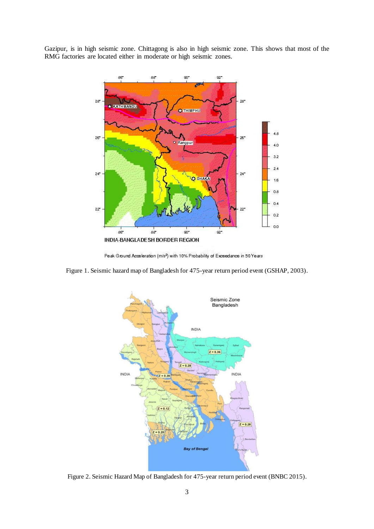Gazipur, is in high seismic zone. Chittagong is also in high seismic zone. This shows that most of the RMG factories are located either in moderate or high seismic zones.



Peak Ground Acceleration (m/s2) with 10% Probability of Exceedance in 50 Years

<span id="page-2-1"></span>Figure 1. Seismic hazard map of Bangladesh for 475-year return period event (GSHAP, 2003).



<span id="page-2-0"></span>Figure 2. Seismic Hazard Map of Bangladesh for 475-year return period event (BNBC 2015).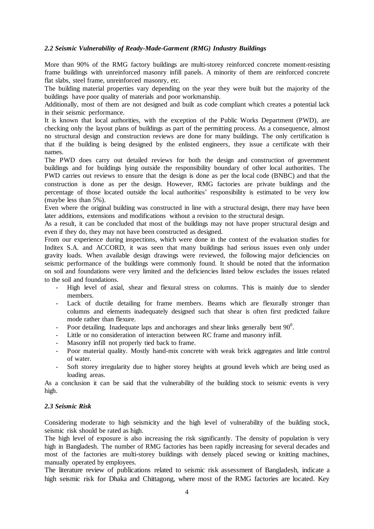## *2.2 Seismic Vulnerability of Ready-Made-Garment (RMG) Industry Buildings*

More than 90% of the RMG factory buildings are multi-storey reinforced concrete moment-resisting frame buildings with unreinforced masonry infill panels. A minority of them are reinforced concrete flat slabs, steel frame, unreinforced masonry, etc.

The building material properties vary depending on the year they were built but the majority of the buildings have poor quality of materials and poor workmanship.

Additionally, most of them are not designed and built as code compliant which creates a potential lack in their seismic performance.

It is known that local authorities, with the exception of the Public Works Department (PWD), are checking only the layout plans of buildings as part of the permitting process. As a consequence, almost no structural design and construction reviews are done for many buildings. The only certification is that if the building is being designed by the enlisted engineers, they issue a certificate with their names.

The PWD does carry out detailed reviews for both the design and construction of government buildings and for buildings lying outside the responsibility boundary of other local authorities. The PWD carries out reviews to ensure that the design is done as per the local code (BNBC) and that the construction is done as per the design. However, RMG factories are private buildings and the percentage of those located outside the local authorities' responsibility is estimated to be very low (maybe less than 5%).

Even where the original building was constructed in line with a structural design, there may have been later additions, extensions and modifications without a revision to the structural design.

As a result, it can be concluded that most of the buildings may not have proper structural design and even if they do, they may not have been constructed as designed.

From our experience during inspections, which were done in the context of the evaluation studies for Inditex S.A. and ACCORD, it was seen that many buildings had serious issues even only under gravity loads. When available design drawings were reviewed, the following major deficiencies on seismic performance of the buildings were commonly found. It should be noted that the information on soil and foundations were very limited and the deficiencies listed below excludes the issues related to the soil and foundations.

- High level of axial, shear and flexural stress on columns. This is mainly due to slender members.
- Lack of ductile detailing for frame members. Beams which are flexurally stronger than columns and elements inadequately designed such that shear is often first predicted failure mode rather than flexure.
- Poor detailing. Inadequate laps and anchorages and shear links generally bent  $90^\circ$ .
- Little or no consideration of interaction between RC frame and masonry infill.
- Masonry infill not properly tied back to frame.
- Poor material quality. Mostly hand-mix concrete with weak brick aggregates and little control of water.
- Soft storey irregularity due to higher storey heights at ground levels which are being used as loading areas.

As a conclusion it can be said that the vulnerability of the building stock to seismic events is very high.

#### *2.3 Seismic Risk*

Considering moderate to high seismicity and the high level of vulnerability of the building stock, seismic risk should be rated as high.

The high level of exposure is also increasing the risk significantly. The density of population is very high in Bangladesh. The number of RMG factories has been rapidly increasing for several decades and most of the factories are multi-storey buildings with densely placed sewing or knitting machines, manually operated by employees.

The literature review of publications related to seismic risk assessment of Bangladesh, indicate a high seismic risk for Dhaka and Chittagong, where most of the RMG factories are located. Key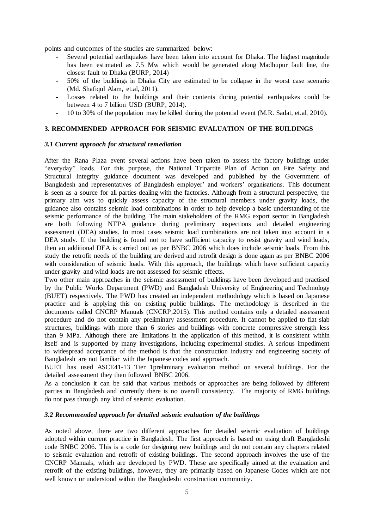points and outcomes of the studies are summarized below:

- Several potential earthquakes have been taken into account for Dhaka. The highest magnitude has been estimated as 7.5 Mw which would be generated along Madhupur fault line, the closest fault to Dhaka (BURP, 2014)
- 50% of the buildings in Dhaka City are estimated to be collapse in the worst case scenario (Md. Shafiqul Alam, et.al, 2011).
- Losses related to the buildings and their contents during potential earthquakes could be between 4 to 7 billion USD (BURP, 2014).
- 10 to 30% of the population may be killed during the potential event (M.R. Sadat, et.al, 2010).

# **3. RECOMMENDED APPROACH FOR SEISMIC EVALUATION OF THE BUILDINGS**

## *3.1 Current approach for structural remediation*

After the Rana Plaza event several actions have been taken to assess the factory buildings under "everyday" loads. For this purpose, the National Tripartite Plan of Action on Fire Safety and Structural Integrity guidance document was developed and published by the Government of Bangladesh and representatives of Bangladesh employer' and workers' organisations. This document is seen as a source for all parties dealing with the factories. Although from a structural perspective, the primary aim was to quickly assess capacity of the structural members under gravity loads, the guidance also contains seismic load combinations in order to help develop a basic understanding of the seismic performance of the building. The main stakeholders of the RMG export sector in Bangladesh are both following NTPA guidance during preliminary inspections and detailed engineering assessment (DEA) studies. In most cases seismic load combinations are not taken into account in a DEA study. If the building is found not to have sufficient capacity to resist gravity and wind loads, then an additional DEA is carried out as per BNBC 2006 which does include seismic loads. From this study the retrofit needs of the building are derived and retrofit design is done again as per BNBC 2006 with consideration of seismic loads. With this approach, the buildings which have sufficient capacity under gravity and wind loads are not assessed for seismic effects.

Two other main approaches in the seismic assessment of buildings have been developed and practised by the Public Works Department (PWD) and Bangladesh University of Engineering and Technology (BUET) respectively. The PWD has created an independent methodology which is based on Japanese practice and is applying this on existing public buildings. The methodology is described in the documents called CNCRP Manuals (CNCRP,2015). This method contains only a detailed assessment procedure and do not contain any preliminary assessment procedure. It cannot be applied to flat slab structures, buildings with more than 6 stories and buildings with concrete compressive strength less than 9 MPa. Although there are limitations in the application of this method, it is consistent within itself and is supported by many investigations, including experimental studies. A serious impediment to widespread acceptance of the method is that the construction industry and engineering society of Bangladesh are not familiar with the Japanese codes and approach.

BUET has used ASCE41-13 Tier 1preliminary evaluation method on several buildings. For the detailed assessment they then followed BNBC 2006.

As a conclusion it can be said that various methods or approaches are being followed by different parties in Bangladesh and currently there is no overall consistency. The majority of RMG buildings do not pass through any kind of seismic evaluation.

## *3.2 Recommended approach for detailed seismic evaluation of the buildings*

As noted above, there are two different approaches for detailed seismic evaluation of buildings adopted within current practice in Bangladesh. The first approach is based on using draft Bangladeshi code BNBC 2006. This is a code for designing new buildings and do not contain any chapters related to seismic evaluation and retrofit of existing buildings. The second approach involves the use of the CNCRP Manuals, which are developed by PWD. These are specifically aimed at the evaluation and retrofit of the existing buildings, however, they are primarily based on Japanese Codes which are not well known or understood within the Bangladeshi construction community.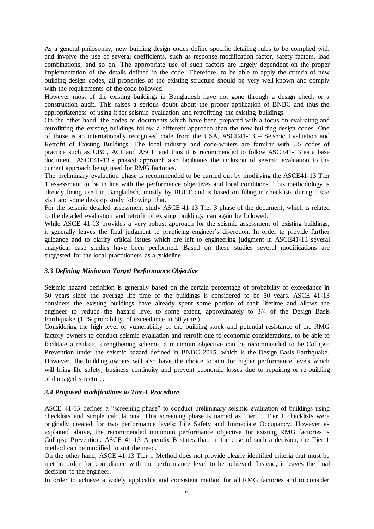As a general philosophy, new building design codes define specific detailing rules to be complied with and involve the use of several coefficients, such as response modification factor, safety factors, load combinations, and so on. The appropriate use of such factors are largely dependent on the proper implementation of the details defined in the code. Therefore, to be able to apply the criteria of new building design codes, all properties of the existing structure should be very well known and comply with the requirements of the code followed.

However most of the existing buildings in Bangladesh have not gone through a design check or a construction audit. This raises a serious doubt about the proper application of BNBC and thus the appropriateness of using it for seismic evaluation and retrofitting the existing buildings.

On the other hand, the codes or documents which have been prepared with a focus on evaluating and retrofitting the existing buildings follow a different approach than the new building design codes. One of those is an internationally recognised code from the USA, ASCE41-13 – Seismic Evaluation and Retrofit of Existing Buildings. The local industry and code-writers are familiar with US codes of practice such as UBC, ACI and ASCE and thus it is recommended to follow ASCE41-13 as a base document. ASCE41-13's phased approach also facilitates the inclusion of seismic evaluation to the current approach being used for RMG factories.

The preliminary evaluation phase is recommended to be carried out by modifying the ASCE41-13 Tier 1 assessment to be in line with the performance objectives and local conditions. This methodology is already being used in Bangladesh, mostly by BUET and is based on filling in checklists during a site visit and some desktop study following that.

For the seismic detailed assessment study ASCE 41-13 Tier 3 phase of the document, which is related to the detailed evaluation and retrofit of existing buildings can again be followed.

While ASCE 41-13 provides a very robust approach for the seismic assessment of existing buildings, it generally leaves the final judgment to practicing engineer's discretion. In order to provide further guidance and to clarify critical issues which are left to engineering judgment in ASCE41-13 several analytical case studies have been performed. Based on these studies several modifications are suggested for the local practitioners as a guideline.

## *3.3 Defining Minimum Target Performance Objective*

Seismic hazard definition is generally based on the certain percentage of probability of exceedance in 50 years since the average life time of the buildings is considered to be 50 years. ASCE 41-13 considers the existing buildings have already spent some portion of their lifetime and allows the engineer to reduce the hazard level to some extent, approximately to 3/4 of the Design Basis Earthquake (10% probability of exceedance in 50 years).

Considering the high level of vulnerability of the building stock and potential resistance of the RMG factory owners to conduct seismic evaluation and retrofit due to economic considerations, to be able to facilitate a realistic strengthening scheme, a minimum objective can be recommended to be Collapse Prevention under the seismic hazard defined in BNBC 2015, which is the Design Basis Earthquake. However, the building owners will also have the choice to aim for higher performance levels which will bring life safety, business continuity and prevent economic losses due to repairing or re-building of damaged structure.

# *3.4 Proposed modifications to Tier-1 Procedure*

ASCE 41-13 defines a "screening phase" to conduct preliminary seismic evaluation of buildings using checklists and simple calculations. This screening phase is named as Tier 1. Tier 1 checklists were originally created for two performance levels; Life Safety and Immediate Occupancy. However as explained above, the recommended minimum performance objective for existing RMG factories is Collapse Prevention. ASCE 41-13 Appendix B states that, in the case of such a decision, the Tier 1 method can be modified to suit the need.

On the other hand, ASCE 41-13 Tier 1 Method does not provide clearly identified criteria that must be met in order for compliance with the performance level to be achieved. Instead, it leaves the final decision to the engineer.

In order to achieve a widely applicable and consistent method for all RMG factories and to consider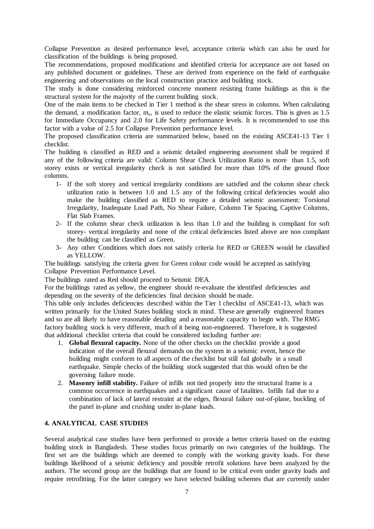Collapse Prevention as desired performance level, acceptance criteria which can also be used for classification of the buildings is being proposed.

The recommendations, proposed modifications and identified criteria for acceptance are not based on any published document or guidelines. These are derived from experience on the field of earthquake engineering and observations on the local construction practice and building stock.

The study is done considering reinforced concrete moment resisting frame buildings as this is the structural system for the majority of the current building stock.

One of the main items to be checked in Tier 1 method is the shear stress in columns. When calculating the demand, a modification factor,  $m_s$ , is used to reduce the elastic seismic forces. This is given as 1.5 for Immediate Occupancy and 2.0 for Life Safety performance levels. It is recommended to use this factor with a value of 2.5 for Collapse Prevention performance level.

The proposed classification criteria are summarized below, based on the existing ASCE41-13 Tier 1 checklist.

The building is classified as RED and a seismic detailed engineering assessment shall be required if any of the following criteria are valid: Column Shear Check Utilization Ratio is more than 1.5, soft storey exists or vertical irregularity check is not satisfied for more than 10% of the ground floor columns.

- 1- If the soft storey and vertical irregularity conditions are satisfied and the column shear check utilization ratio is between 1.0 and 1.5 any of the following critical deficiencies would also make the building classified as RED to require a detailed seismic assessment: Torsional Irregularity, Inadequate Load Path, No Shear Failure, Column Tie Spacing, Captive Columns, Flat Slab Frames.
- 2- If the column shear check utilization is less than 1.0 and the building is compliant for soft storey- vertical irregularity and none of the critical deficiencies listed above are non compliant the building can be classified as Green.
- 3- Any other Conditions which does not satisfy criteria for RED or GREEN would be classified as YELLOW.

The buildings satisfying the criteria given for Green colour code would be accepted as satisfying Collapse Prevention Performance Level.

The buildings rated as Red should proceed to Seismic DEA.

For the buildings rated as yellow, the engineer should re-evaluate the identified deficiencies and depending on the severity of the deficiencies final decision should be made.

This table only includes deficiencies described within the Tier 1 checklist of ASCE41-13, which was written primarily for the United States building stock in mind. These are generally engineered frames and so are all likely to have reasonable detailing and a reasonable capacity to begin with. The RMG factory building stock is very different, much of it being non-engineered. Therefore, it is suggested that additional checklist criteria that could be considered including further are:

- 1. **Global flexural capacity.** None of the other checks on the checklist provide a good indication of the overall flexural demands on the system in a seismic event, hence the building might conform to all aspects of the checklist but still fail globally in a small earthquake. Simple checks of the building stock suggested that this would often be the governing failure mode.
- 2. **Masonry infill stability.** Failure of infills not tied properly into the structural frame is a common occurrence in earthquakes and a significant cause of fatalities. Infills fail due to a combination of lack of lateral restraint at the edges, flexural failure out-of-plane, buckling of the panel in-plane and crushing under in-plane loads.

## **4. ANALYTICAL CASE STUDIES**

Several analytical case studies have been performed to provide a better criteria based on the existing building stock in Bangladesh. These studies focus primarily on two categories of the buildings. The first set are the buildings which are deemed to comply with the working gravity loads. For these buildings likelihood of a seismic deficiency and possible retrofit solutions have been analyzed by the authors. The second group are the buildings that are found to be critical even under gravity loads and require retrofitting. For the latter category we have selected building schemes that are currently under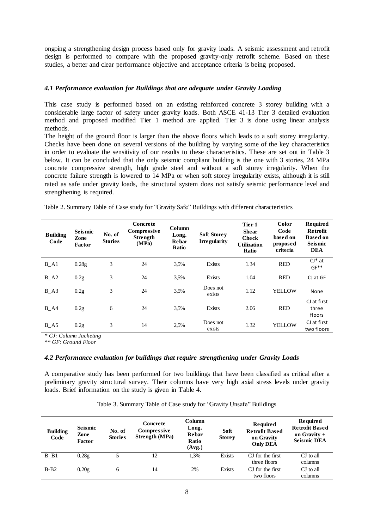ongoing a strengthening design process based only for gravity loads. A seismic assessment and retrofit design is performed to compare with the proposed gravity-only retrofit scheme. Based on these studies, a better and clear performance objective and acceptance criteria is being proposed.

## *4.1 Performance evaluation for Buildings that are adequate under Gravity Loading*

This case study is performed based on an existing reinforced concrete 3 storey building with a considerable large factor of safety under gravity loads. Both ASCE 41-13 Tier 3 detailed evaluation method and proposed modified Tier 1 method are applied. Tier 3 is done using linear analysis methods.

The height of the ground floor is larger than the above floors which leads to a soft storey irregularity. Checks have been done on several versions of the building by varying some of the key characteristics in order to evaluate the sensitivity of our results to these characteristics. These are set out in Table 3 below. It can be concluded that the only seismic compliant building is the one with 3 stories, 24 MPa concrete compressive strength, high grade steel and without a soft storey irregularity. When the concrete failure strength is lowered to 14 MPa or when soft storey irregularity exists, although it is still rated as safe under gravity loads, the structural system does not satisfy seismic performance level and strengthening is required.

|  |  | Table 2. Summary Table of Case study for "Gravity Safe" Buildings with different characteristics |
|--|--|--------------------------------------------------------------------------------------------------|
|  |  |                                                                                                  |

| <b>Building</b><br>Code | <b>Seismic</b><br>Zone<br>Factor | No. of<br><b>Stories</b> | Concrete<br>Compressive<br><b>Strength</b><br>(MPa) | <b>Column</b><br>Long.<br><b>Rebar</b><br><b>Ratio</b> | <b>Soft Storey</b><br><b>Irregularity</b> | Tier 1<br><b>Shear</b><br><b>Check</b><br><b>Utilization</b><br><b>Ratio</b> | Color<br>Code<br>based on<br>proposed<br>criteria | <b>Required</b><br><b>Retrofit</b><br><b>Based on</b><br><b>Seismic</b><br><b>DEA</b> |
|-------------------------|----------------------------------|--------------------------|-----------------------------------------------------|--------------------------------------------------------|-------------------------------------------|------------------------------------------------------------------------------|---------------------------------------------------|---------------------------------------------------------------------------------------|
| $B_A1$                  | 0.28g                            | 3                        | 24                                                  | 3.5%                                                   | Exists                                    | 1.34                                                                         | <b>RED</b>                                        | $CI*at$<br>$GF**$                                                                     |
| $B_A2$                  | 0.2g                             | 3                        | 24                                                  | 3.5%                                                   | Exists                                    | 1.04                                                                         | <b>RED</b>                                        | CJ at GF                                                                              |
| $B_A3$                  | 0.2 <sub>g</sub>                 | 3                        | 24                                                  | 3.5%                                                   | Does not<br>exists                        | 1.12                                                                         | <b>YELLOW</b>                                     | None                                                                                  |
| $B_A4$                  | 0.2g                             | 6                        | 24                                                  | 3.5%                                                   | <b>Exists</b>                             | 2.06                                                                         | <b>RED</b>                                        | CJ at first<br>three<br>floors                                                        |
| $B_A5$                  | 0.2g                             | 3                        | 14                                                  | 2.5%                                                   | Does not<br>exists                        | 1.32                                                                         | <b>YELLOW</b>                                     | CJ at first<br>two floors                                                             |

*\* CJ: Column Jacketing*

*\*\* GF: Ground Floor*

#### *4.2 Performance evaluation for buildings that require strengthening under Gravity Loads*

A comparative study has been performed for two buildings that have been classified as critical after a preliminary gravity structural survey. Their columns have very high axial stress levels under gravity loads. Brief information on the study is given in Table 4.

|  |  |  |  | Table 3. Summary Table of Case study for "Gravity Unsafe" Buildings |  |
|--|--|--|--|---------------------------------------------------------------------|--|
|--|--|--|--|---------------------------------------------------------------------|--|

| <b>Building</b><br>Code | <b>Seismic</b><br>Zone<br>Factor | No. of<br><b>Stories</b> | <b>Concrete</b><br>Compressive<br><b>Strength (MPa)</b> | Column<br>Long.<br><b>Rebar</b><br><b>Ratio</b><br>(Avg.) | Soft<br><b>Storey</b> | Required<br><b>Retrofit Based</b><br>on Gravity<br><b>Only DEA</b> | <b>Required</b><br><b>Retrofit Based</b><br>on Gravity $+$<br><b>Seismic DEA</b> |
|-------------------------|----------------------------------|--------------------------|---------------------------------------------------------|-----------------------------------------------------------|-----------------------|--------------------------------------------------------------------|----------------------------------------------------------------------------------|
| B B1                    | 0.28g                            | 5                        | 12                                                      | 1.3%                                                      | Exists                | CJ for the first                                                   | CJ to all                                                                        |
|                         |                                  |                          |                                                         |                                                           |                       | three floors                                                       | columns                                                                          |
| $B-B2$                  | 0.20g                            | 6                        | 14                                                      | 2%                                                        | Exists                | CJ for the first                                                   | CJ to all                                                                        |
|                         |                                  |                          |                                                         |                                                           |                       | two floors                                                         | columns                                                                          |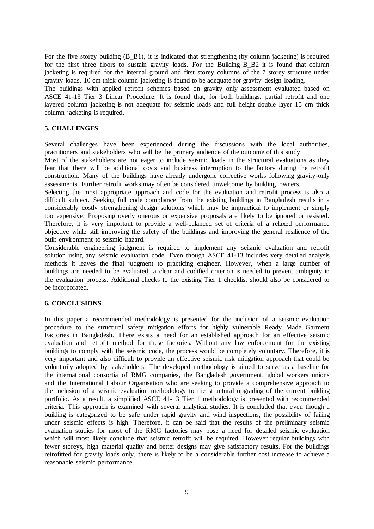For the five storey building (B\_B1), it is indicated that strengthening (by column jacketing) is required for the first three floors to sustain gravity loads. For the Building B\_B2 it is found that column jacketing is required for the internal ground and first storey columns of the 7 storey structure under gravity loads. 10 cm thick column jacketing is found to be adequate for gravity design loading.

The buildings with applied retrofit schemes based on gravity only assessment evaluated based on ASCE 41-13 Tier 3 Linear Procedure. It is found that, for both buildings, partial retrofit and one layered column jacketing is not adequate for seismic loads and full height double layer 15 cm thick column jacketing is required.

# **5. CHALLENGES**

Several challenges have been experienced during the discussions with the local authorities, practitioners and stakeholders who will be the primary audience of the outcome of this study.

Most of the stakeholders are not eager to include seismic loads in the structural evaluations as they fear that there will be additional costs and business interruption to the factory during the retrofit construction. Many of the buildings have already undergone corrective works following gravity-only assessments. Further retrofit works may often be considered unwelcome by building owners.

Selecting the most appropriate approach and code for the evaluation and retrofit process is also a difficult subject. Seeking full code compliance from the existing buildings in Bangladesh results in a considerably costly strengthening design solutions which may be impractical to implement or simply too expensive. Proposing overly onerous or expensive proposals are likely to be ignored or resisted. Therefore, it is very important to provide a well-balanced set of criteria of a relaxed performance objective while still improving the safety of the buildings and improving the general resilience of the built environment to seismic hazard.

Considerable engineering judgment is required to implement any seismic evaluation and retrofit solution using any seismic evaluation code. Even though ASCE 41-13 includes very detailed analysis methods it leaves the final judgment to practicing engineer. However, when a large number of buildings are needed to be evaluated, a clear and codified criterion is needed to prevent ambiguity in the evaluation process. Additional checks to the existing Tier 1 checklist should also be considered to be incorporated.

## **6. CONCLUSIONS**

In this paper a recommended methodology is presented for the inclusion of a seismic evaluation procedure to the structural safety mitigation efforts for highly vulnerable Ready Made Garment Factories in Bangladesh. There exists a need for an established approach for an effective seismic evaluation and retrofit method for these factories. Without any law enforcement for the existing buildings to comply with the seismic code, the process would be completely voluntary. Therefore, it is very important and also difficult to provide an effective seismic risk mitigation approach that could be voluntarily adopted by stakeholders. The developed methodology is aimed to serve as a baseline for the international consortia of RMG companies, the Bangladesh government, global workers unions and the International Labour Organisation who are seeking to provide a comprehensive approach to the inclusion of a seismic evaluation methodology to the structural upgrading of the current building portfolio. As a result, a simplified ASCE 41-13 Tier 1 methodology is presented with recommended criteria. This approach is examined with several analytical studies. It is concluded that even though a building is categorized to be safe under rapid gravity and wind inspections, the possibility of failing under seismic effects is high. Therefore, it can be said that the results of the preliminary seismic evaluation studies for most of the RMG factories may pose a need for detailed seismic evaluation which will most likely conclude that seismic retrofit will be required. However regular buildings with fewer storeys, high material quality and better designs may give satisfactory results. For the buildings retrofitted for gravity loads only, there is likely to be a considerable further cost increase to achieve a reasonable seismic performance.